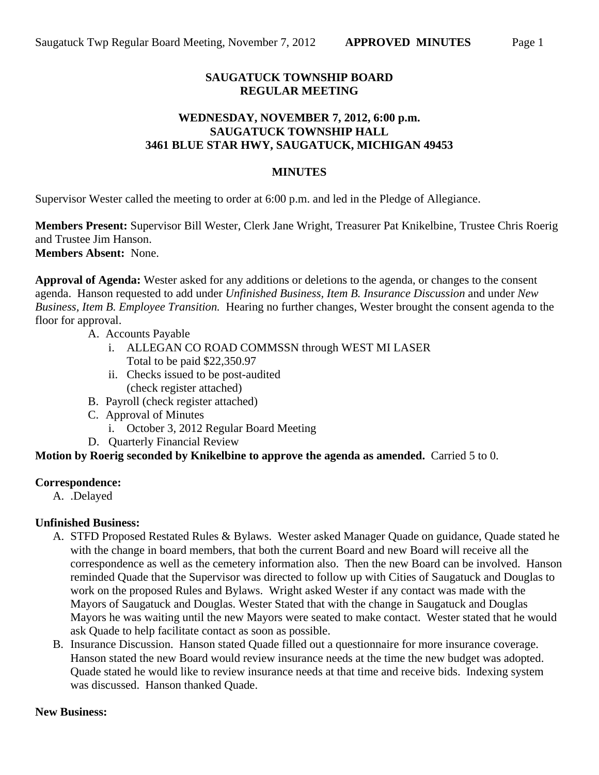### **SAUGATUCK TOWNSHIP BOARD REGULAR MEETING**

### **WEDNESDAY, NOVEMBER 7, 2012, 6:00 p.m. SAUGATUCK TOWNSHIP HALL 3461 BLUE STAR HWY, SAUGATUCK, MICHIGAN 49453**

#### **MINUTES**

Supervisor Wester called the meeting to order at 6:00 p.m. and led in the Pledge of Allegiance.

**Members Present:** Supervisor Bill Wester, Clerk Jane Wright, Treasurer Pat Knikelbine, Trustee Chris Roerig and Trustee Jim Hanson. **Members Absent:** None.

**Approval of Agenda:** Wester asked for any additions or deletions to the agenda, or changes to the consent agenda. Hanson requested to add under *Unfinished Business, Item B. Insurance Discussion* and under *New Business, Item B. Employee Transition.* Hearing no further changes, Wester brought the consent agenda to the floor for approval.

A. Accounts Payable

- i. ALLEGAN CO ROAD COMMSSN through WEST MI LASER Total to be paid \$22,350.97
- ii. Checks issued to be post-audited (check register attached)
- B. Payroll (check register attached)
- C. Approval of Minutes
	- i. October 3, 2012 Regular Board Meeting
- D. Quarterly Financial Review

#### **Motion by Roerig seconded by Knikelbine to approve the agenda as amended.** Carried 5 to 0.

#### **Correspondence:**

A. .Delayed

#### **Unfinished Business:**

- A. STFD Proposed Restated Rules & Bylaws. Wester asked Manager Quade on guidance, Quade stated he with the change in board members, that both the current Board and new Board will receive all the correspondence as well as the cemetery information also. Then the new Board can be involved. Hanson reminded Quade that the Supervisor was directed to follow up with Cities of Saugatuck and Douglas to work on the proposed Rules and Bylaws. Wright asked Wester if any contact was made with the Mayors of Saugatuck and Douglas. Wester Stated that with the change in Saugatuck and Douglas Mayors he was waiting until the new Mayors were seated to make contact. Wester stated that he would ask Quade to help facilitate contact as soon as possible.
- B. Insurance Discussion. Hanson stated Quade filled out a questionnaire for more insurance coverage. Hanson stated the new Board would review insurance needs at the time the new budget was adopted. Quade stated he would like to review insurance needs at that time and receive bids. Indexing system was discussed. Hanson thanked Quade.

#### **New Business:**